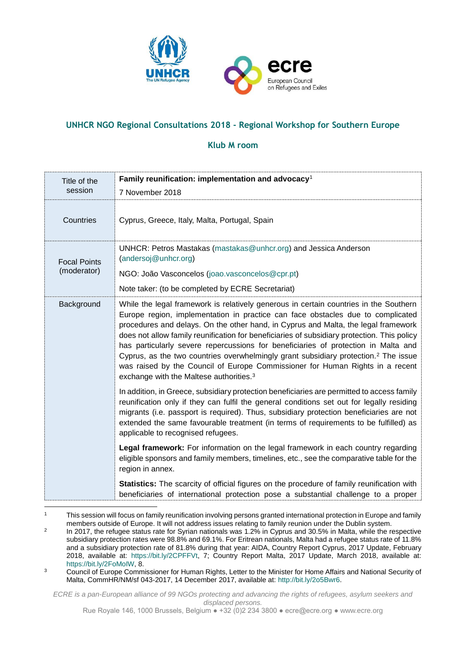

## **UNHCR NGO Regional Consultations 2018 - Regional Workshop for Southern Europe**

## **Klub M room**

| Title of the                       | Family reunification: implementation and advocacy <sup>1</sup>                                                                                                                                                                                                                                                                                                                                                                                                                                                                                                                                                                                                                                 |  |  |
|------------------------------------|------------------------------------------------------------------------------------------------------------------------------------------------------------------------------------------------------------------------------------------------------------------------------------------------------------------------------------------------------------------------------------------------------------------------------------------------------------------------------------------------------------------------------------------------------------------------------------------------------------------------------------------------------------------------------------------------|--|--|
| session                            | 7 November 2018                                                                                                                                                                                                                                                                                                                                                                                                                                                                                                                                                                                                                                                                                |  |  |
| Countries                          | Cyprus, Greece, Italy, Malta, Portugal, Spain                                                                                                                                                                                                                                                                                                                                                                                                                                                                                                                                                                                                                                                  |  |  |
| <b>Focal Points</b><br>(moderator) | UNHCR: Petros Mastakas (mastakas @unhcr.org) and Jessica Anderson<br>(andersoj@unhcr.org)                                                                                                                                                                                                                                                                                                                                                                                                                                                                                                                                                                                                      |  |  |
|                                    | NGO: João Vasconcelos (joao.vasconcelos@cpr.pt)                                                                                                                                                                                                                                                                                                                                                                                                                                                                                                                                                                                                                                                |  |  |
|                                    | Note taker: (to be completed by ECRE Secretariat)                                                                                                                                                                                                                                                                                                                                                                                                                                                                                                                                                                                                                                              |  |  |
| Background                         | While the legal framework is relatively generous in certain countries in the Southern<br>Europe region, implementation in practice can face obstacles due to complicated<br>procedures and delays. On the other hand, in Cyprus and Malta, the legal framework<br>does not allow family reunification for beneficiaries of subsidiary protection. This policy<br>has particularly severe repercussions for beneficiaries of protection in Malta and<br>Cyprus, as the two countries overwhelmingly grant subsidiary protection. <sup>2</sup> The issue<br>was raised by the Council of Europe Commissioner for Human Rights in a recent<br>exchange with the Maltese authorities. <sup>3</sup> |  |  |
|                                    | In addition, in Greece, subsidiary protection beneficiaries are permitted to access family<br>reunification only if they can fulfil the general conditions set out for legally residing<br>migrants (i.e. passport is required). Thus, subsidiary protection beneficiaries are not<br>extended the same favourable treatment (in terms of requirements to be fulfilled) as<br>applicable to recognised refugees.                                                                                                                                                                                                                                                                               |  |  |
|                                    | Legal framework: For information on the legal framework in each country regarding<br>eligible sponsors and family members, timelines, etc., see the comparative table for the<br>region in annex.                                                                                                                                                                                                                                                                                                                                                                                                                                                                                              |  |  |
|                                    | Statistics: The scarcity of official figures on the procedure of family reunification with<br>beneficiaries of international protection pose a substantial challenge to a proper                                                                                                                                                                                                                                                                                                                                                                                                                                                                                                               |  |  |

*ECRE is a pan-European alliance of 99 NGOs protecting and advancing the rights of refugees, asylum seekers and displaced persons.*

Rue Royale 146, 1000 Brussels, Belgium ● +32 (0)2 234 3800 ● ecre@ecre.org ● www.ecre.org

<sup>&</sup>lt;sup>1</sup> This session will focus on family reunification involving persons granted international protection in Europe and family members outside of Europe. It will not address issues relating to family reunion under the Dublin system.

 $\overline{2}$ In 2017, the refugee status rate for Syrian nationals was 1.2% in Cyprus and 30.5% in Malta, while the respective subsidiary protection rates were 98.8% and 69.1%. For Eritrean nationals, Malta had a refugee status rate of 11.8% and a subsidiary protection rate of 81.8% during that year: AIDA, Country Report Cyprus, 2017 Update, February 2018, available at: [https://bit.ly/2CPFFVt,](https://bit.ly/2CPFFVt) 7; Country Report Malta, 2017 Update, March 2018, available at: [https://bit.ly/2FoMoIW,](https://bit.ly/2FoMoIW) 8.

<sup>&</sup>lt;sup>3</sup> Council of Europe Commissioner for Human Rights, Letter to the Minister for Home Affairs and National Security of Malta, CommHR/NM/sf 043-2017, 14 December 2017, available at: [http://bit.ly/2o5Bwr6.](http://bit.ly/2o5Bwr6)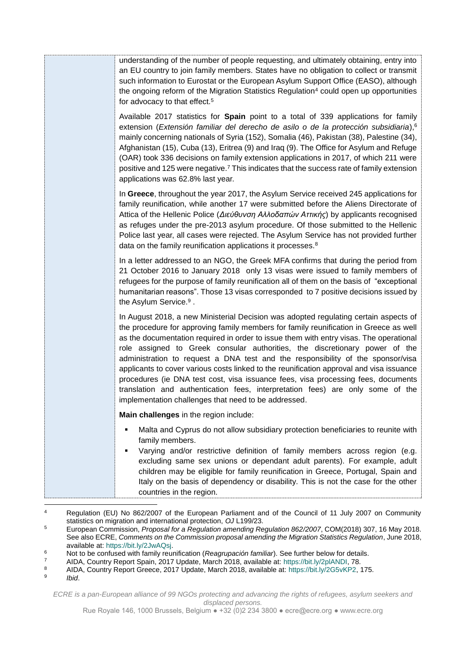| understanding of the number of people requesting, and ultimately obtaining, entry into<br>an EU country to join family members. States have no obligation to collect or transmit<br>such information to Eurostat or the European Asylum Support Office (EASO), although<br>the ongoing reform of the Migration Statistics Regulation <sup>4</sup> could open up opportunities<br>for advocacy to that effect. <sup>5</sup>                                                                                                                                                                                                                                                                                                                                           |
|----------------------------------------------------------------------------------------------------------------------------------------------------------------------------------------------------------------------------------------------------------------------------------------------------------------------------------------------------------------------------------------------------------------------------------------------------------------------------------------------------------------------------------------------------------------------------------------------------------------------------------------------------------------------------------------------------------------------------------------------------------------------|
| Available 2017 statistics for <b>Spain</b> point to a total of 339 applications for family<br>extension (Extensión familiar del derecho de asilo o de la protección subsidiaria), <sup>6</sup><br>mainly concerning nationals of Syria (152), Somalia (46), Pakistan (38), Palestine (34),<br>Afghanistan (15), Cuba (13), Eritrea (9) and Iraq (9). The Office for Asylum and Refuge<br>(OAR) took 336 decisions on family extension applications in 2017, of which 211 were<br>positive and 125 were negative. <sup>7</sup> This indicates that the success rate of family extension<br>applications was 62.8% last year.                                                                                                                                          |
| In Greece, throughout the year 2017, the Asylum Service received 245 applications for<br>family reunification, while another 17 were submitted before the Aliens Directorate of<br>Attica of the Hellenic Police (Διεύθυνση Αλλοδαπών Αττικής) by applicants recognised<br>as refuges under the pre-2013 asylum procedure. Of those submitted to the Hellenic<br>Police last year, all cases were rejected. The Asylum Service has not provided further<br>data on the family reunification applications it processes. <sup>8</sup>                                                                                                                                                                                                                                  |
| In a letter addressed to an NGO, the Greek MFA confirms that during the period from<br>21 October 2016 to January 2018 only 13 visas were issued to family members of<br>refugees for the purpose of family reunification all of them on the basis of "exceptional<br>humanitarian reasons". Those 13 visas corresponded to 7 positive decisions issued by<br>the Asylum Service. <sup>9</sup> .                                                                                                                                                                                                                                                                                                                                                                     |
| In August 2018, a new Ministerial Decision was adopted regulating certain aspects of<br>the procedure for approving family members for family reunification in Greece as well<br>as the documentation required in order to issue them with entry visas. The operational<br>role assigned to Greek consular authorities, the discretionary power of the<br>administration to request a DNA test and the responsibility of the sponsor/visa<br>applicants to cover various costs linked to the reunification approval and visa issuance<br>procedures (ie DNA test cost, visa issuance fees, visa processing fees, documents<br>translation and authentication fees, interpretation fees) are only some of the<br>implementation challenges that need to be addressed. |
| Main challenges in the region include:                                                                                                                                                                                                                                                                                                                                                                                                                                                                                                                                                                                                                                                                                                                               |
| Malta and Cyprus do not allow subsidiary protection beneficiaries to reunite with<br>family members.<br>Varying and/or restrictive definition of family members across region (e.g.<br>excluding same sex unions or dependant adult parents). For example, adult<br>children may be eligible for family reunification in Greece, Portugal, Spain and<br>Italy on the basis of dependency or disability. This is not the case for the other<br>countries in the region.                                                                                                                                                                                                                                                                                               |

 $\overline{\mathbf{4}}$ Regulation (EU) No 862/2007 of the European Parliament and of the Council of 11 July 2007 on Community statistics on migration and international protection, *OJ* L199/23.

*Ibid*.

*ECRE is a pan-European alliance of 99 NGOs protecting and advancing the rights of refugees, asylum seekers and displaced persons.*

<sup>5</sup> European Commission, *Proposal for a Regulation amending Regulation 862/2007*, COM(2018) 307, 16 May 2018. See also ECRE, *Comments on the Commission proposal amending the Migration Statistics Regulation*, June 2018, available at[: https://bit.ly/2JwAQsj.](https://bit.ly/2JwAQsj)

<sup>6</sup> Not to be confused with family reunification (*Reagrupación familiar*). See further below for details.

<sup>7</sup> AIDA, Country Report Spain, 2017 Update, March 2018, available at: [https://bit.ly/2plANDI,](https://bit.ly/2plANDI) 78.

<sup>8</sup> AIDA, Country Report Greece, 2017 Update, March 2018, available at: [https://bit.ly/2G5vKP2,](https://bit.ly/2G5vKP2) 175. 9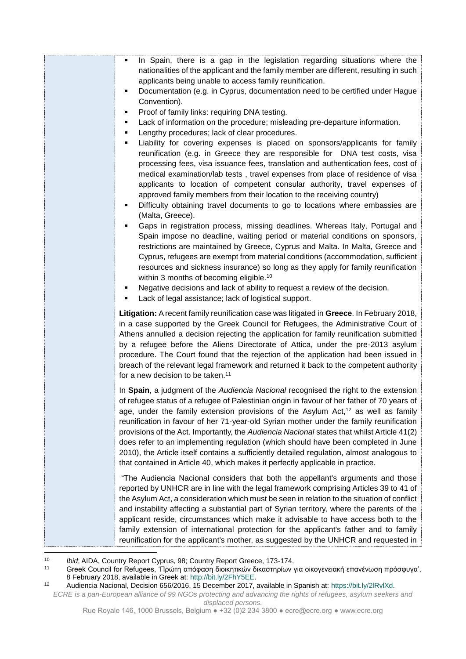| In Spain, there is a gap in the legislation regarding situations where the<br>٠<br>nationalities of the applicant and the family member are different, resulting in such<br>applicants being unable to access family reunification.<br>Documentation (e.g. in Cyprus, documentation need to be certified under Hague<br>Convention).<br>Proof of family links: requiring DNA testing.<br>Lack of information on the procedure; misleading pre-departure information.<br>٠<br>Lengthy procedures; lack of clear procedures.<br>٠<br>Liability for covering expenses is placed on sponsors/applicants for family<br>٠<br>reunification (e.g. in Greece they are responsible for DNA test costs, visa<br>processing fees, visa issuance fees, translation and authentication fees, cost of<br>medical examination/lab tests, travel expenses from place of residence of visa<br>applicants to location of competent consular authority, travel expenses of<br>approved family members from their location to the receiving country)<br>Difficulty obtaining travel documents to go to locations where embassies are<br>٠<br>(Malta, Greece).<br>Gaps in registration process, missing deadlines. Whereas Italy, Portugal and<br>Spain impose no deadline, waiting period or material conditions on sponsors,<br>restrictions are maintained by Greece, Cyprus and Malta. In Malta, Greece and<br>Cyprus, refugees are exempt from material conditions (accommodation, sufficient<br>resources and sickness insurance) so long as they apply for family reunification<br>within 3 months of becoming eligible. <sup>10</sup><br>Negative decisions and lack of ability to request a review of the decision.<br>Lack of legal assistance; lack of logistical support.<br>٠ |
|-----------------------------------------------------------------------------------------------------------------------------------------------------------------------------------------------------------------------------------------------------------------------------------------------------------------------------------------------------------------------------------------------------------------------------------------------------------------------------------------------------------------------------------------------------------------------------------------------------------------------------------------------------------------------------------------------------------------------------------------------------------------------------------------------------------------------------------------------------------------------------------------------------------------------------------------------------------------------------------------------------------------------------------------------------------------------------------------------------------------------------------------------------------------------------------------------------------------------------------------------------------------------------------------------------------------------------------------------------------------------------------------------------------------------------------------------------------------------------------------------------------------------------------------------------------------------------------------------------------------------------------------------------------------------------------------------------------------------------------------------------------------------|
| Litigation: A recent family reunification case was litigated in Greece. In February 2018,<br>in a case supported by the Greek Council for Refugees, the Administrative Court of<br>Athens annulled a decision rejecting the application for family reunification submitted<br>by a refugee before the Aliens Directorate of Attica, under the pre-2013 asylum<br>procedure. The Court found that the rejection of the application had been issued in<br>breach of the relevant legal framework and returned it back to the competent authority<br>for a new decision to be taken. <sup>11</sup>                                                                                                                                                                                                                                                                                                                                                                                                                                                                                                                                                                                                                                                                                                                                                                                                                                                                                                                                                                                                                                                                                                                                                                       |
| In Spain, a judgment of the Audiencia Nacional recognised the right to the extension<br>of refugee status of a refugee of Palestinian origin in favour of her father of 70 years of<br>age, under the family extension provisions of the Asylum $Act112$ as well as family<br>reunification in favour of her 71-year-old Syrian mother under the family reunification<br>provisions of the Act. Importantly, the Audiencia Nacional states that whilst Article 41(2)<br>does refer to an implementing regulation (which should have been completed in June<br>2010), the Article itself contains a sufficiently detailed regulation, almost analogous to<br>that contained in Article 40, which makes it perfectly applicable in practice.                                                                                                                                                                                                                                                                                                                                                                                                                                                                                                                                                                                                                                                                                                                                                                                                                                                                                                                                                                                                                            |
| "The Audiencia Nacional considers that both the appellant's arguments and those<br>reported by UNHCR are in line with the legal framework comprising Articles 39 to 41 of<br>the Asylum Act, a consideration which must be seen in relation to the situation of conflict<br>and instability affecting a substantial part of Syrian territory, where the parents of the<br>applicant reside, circumstances which make it advisable to have access both to the<br>family extension of international protection for the applicant's father and to family<br>reunification for the applicant's mother, as suggested by the UNHCR and requested in                                                                                                                                                                                                                                                                                                                                                                                                                                                                                                                                                                                                                                                                                                                                                                                                                                                                                                                                                                                                                                                                                                                         |

 $10$ 10 *Ibid*; AIDA, Country Report Cyprus, 98; Country Report Greece, 173-174.

<sup>11</sup> Greek Council for Refugees, 'Πρώτη απόφαση διοικητικών δικαστηρίων για οικογενειακή επανένωση πρόσφυγα', 8 February 2018, available in Greek at: [http://bit.ly/2FhY5EE.](http://bit.ly/2FhY5EE)

<sup>12</sup> Audiencia Nacional, Decision 656/2016, 15 December 2017, available in Spanish at: [https://bit.ly/2lRvlXd.](https://bit.ly/2lRvlXd) 

*ECRE is a pan-European alliance of 99 NGOs protecting and advancing the rights of refugees, asylum seekers and displaced persons.*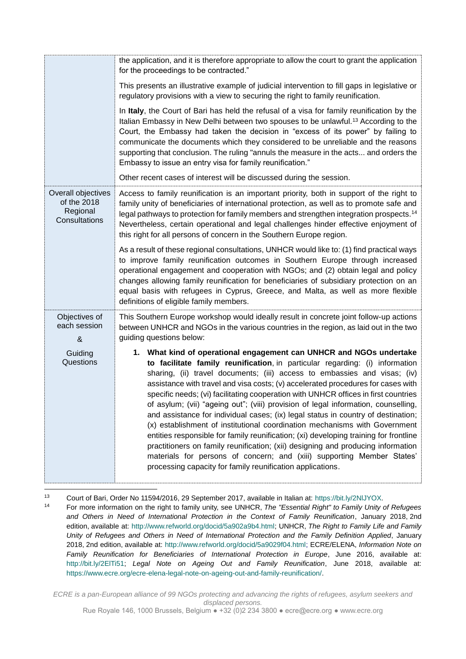|                                                                | the application, and it is therefore appropriate to allow the court to grant the application<br>for the proceedings to be contracted."                                                                                                                                                                                                                                                                                                                                                                                                                                                                                                                                                                                                                                                                                                                                                                                                                                                    |  |  |
|----------------------------------------------------------------|-------------------------------------------------------------------------------------------------------------------------------------------------------------------------------------------------------------------------------------------------------------------------------------------------------------------------------------------------------------------------------------------------------------------------------------------------------------------------------------------------------------------------------------------------------------------------------------------------------------------------------------------------------------------------------------------------------------------------------------------------------------------------------------------------------------------------------------------------------------------------------------------------------------------------------------------------------------------------------------------|--|--|
|                                                                | This presents an illustrative example of judicial intervention to fill gaps in legislative or<br>regulatory provisions with a view to securing the right to family reunification.                                                                                                                                                                                                                                                                                                                                                                                                                                                                                                                                                                                                                                                                                                                                                                                                         |  |  |
|                                                                | In Italy, the Court of Bari has held the refusal of a visa for family reunification by the<br>Italian Embassy in New Delhi between two spouses to be unlawful. <sup>13</sup> According to the<br>Court, the Embassy had taken the decision in "excess of its power" by failing to<br>communicate the documents which they considered to be unreliable and the reasons<br>supporting that conclusion. The ruling "annuls the measure in the acts and orders the<br>Embassy to issue an entry visa for family reunification."                                                                                                                                                                                                                                                                                                                                                                                                                                                               |  |  |
|                                                                | Other recent cases of interest will be discussed during the session.                                                                                                                                                                                                                                                                                                                                                                                                                                                                                                                                                                                                                                                                                                                                                                                                                                                                                                                      |  |  |
| Overall objectives<br>of the 2018<br>Regional<br>Consultations | Access to family reunification is an important priority, both in support of the right to<br>family unity of beneficiaries of international protection, as well as to promote safe and<br>legal pathways to protection for family members and strengthen integration prospects. <sup>14</sup><br>Nevertheless, certain operational and legal challenges hinder effective enjoyment of<br>this right for all persons of concern in the Southern Europe region.                                                                                                                                                                                                                                                                                                                                                                                                                                                                                                                              |  |  |
|                                                                | As a result of these regional consultations, UNHCR would like to: (1) find practical ways<br>to improve family reunification outcomes in Southern Europe through increased<br>operational engagement and cooperation with NGOs; and (2) obtain legal and policy<br>changes allowing family reunification for beneficiaries of subsidiary protection on an<br>equal basis with refugees in Cyprus, Greece, and Malta, as well as more flexible<br>definitions of eligible family members.                                                                                                                                                                                                                                                                                                                                                                                                                                                                                                  |  |  |
| Objectives of<br>each session<br>&                             | This Southern Europe workshop would ideally result in concrete joint follow-up actions<br>between UNHCR and NGOs in the various countries in the region, as laid out in the two<br>guiding questions below:                                                                                                                                                                                                                                                                                                                                                                                                                                                                                                                                                                                                                                                                                                                                                                               |  |  |
| Guiding<br>Questions                                           | 1. What kind of operational engagement can UNHCR and NGOs undertake<br>to facilitate family reunification, in particular regarding: (i) information<br>sharing, (ii) travel documents; (iii) access to embassies and visas; (iv)<br>assistance with travel and visa costs; (v) accelerated procedures for cases with<br>specific needs; (vi) facilitating cooperation with UNHCR offices in first countries<br>of asylum; (vii) "ageing out"; (viii) provision of legal information, counselling,<br>and assistance for individual cases; (ix) legal status in country of destination;<br>(x) establishment of institutional coordination mechanisms with Government<br>entities responsible for family reunification; (xi) developing training for frontline<br>practitioners on family reunification; (xii) designing and producing information<br>materials for persons of concern; and (xiii) supporting Member States'<br>processing capacity for family reunification applications. |  |  |
|                                                                |                                                                                                                                                                                                                                                                                                                                                                                                                                                                                                                                                                                                                                                                                                                                                                                                                                                                                                                                                                                           |  |  |

 $13$ 13 Court of Bari, Order No 11594/2016, 29 September 2017, available in Italian at: https://bit.ly/2NlJYOX.<br>14 Eor more information on the right to family unity see UNHCR, The "Essential Right" to Family Unity.

<sup>14</sup> For more information on the right to family unity, see UNHCR, *The "Essential Right" to Family Unity of Refugees and Others in Need of International Protection in the Context of Family Reunification*, January 2018, 2nd edition, available at: [http://www.refworld.org/docid/5a902a9b4.html;](http://www.refworld.org/docid/5a902a9b4.html) UNHCR, *The Right to Family Life and Family Unity of Refugees and Others in Need of International Protection and the Family Definition Applied*, January 2018, 2nd edition, available at: [http://www.refworld.org/docid/5a9029f04.html;](http://www.refworld.org/docid/5a9029f04.html) ECRE/ELENA, *Information Note on Family Reunification for Beneficiaries of International Protection in Europe*, June 2016, available at: [http://bit.ly/2ElTi51;](http://bit.ly/2ElTi51) *Legal Note on Ageing Out and Family Reunification*, June 2018, available at: [https://www.ecre.org/ecre-elena-legal-note-on-ageing-out-and-family-reunification/.](https://www.ecre.org/ecre-elena-legal-note-on-ageing-out-and-family-reunification/)

*ECRE is a pan-European alliance of 99 NGOs protecting and advancing the rights of refugees, asylum seekers and displaced persons.*

Rue Royale 146, 1000 Brussels, Belgium ● +32 (0)2 234 3800 ● ecre@ecre.org ● www.ecre.org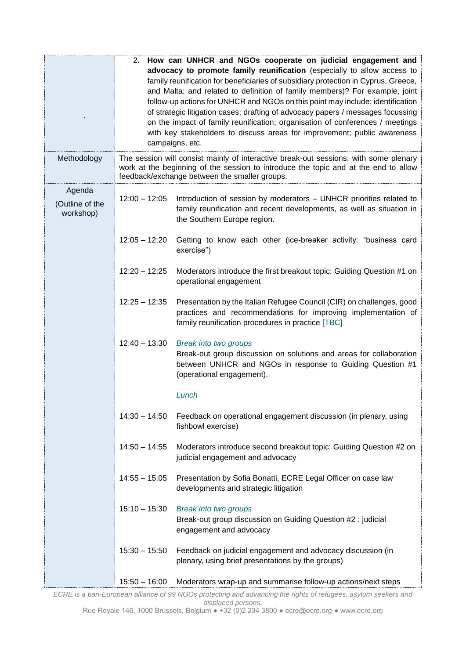|                                        | 2.                                                                                                                                                                                                                                                                                                                                                                                                                                                                                                                                                                                                | How can UNHCR and NGOs cooperate on judicial engagement and                                                                                                                                 |  |  |
|----------------------------------------|---------------------------------------------------------------------------------------------------------------------------------------------------------------------------------------------------------------------------------------------------------------------------------------------------------------------------------------------------------------------------------------------------------------------------------------------------------------------------------------------------------------------------------------------------------------------------------------------------|---------------------------------------------------------------------------------------------------------------------------------------------------------------------------------------------|--|--|
|                                        | advocacy to promote family reunification (especially to allow access to<br>family reunification for beneficiaries of subsidiary protection in Cyprus, Greece,<br>and Malta; and related to definition of family members)? For example, joint<br>follow-up actions for UNHCR and NGOs on this point may include: identification<br>of strategic litigation cases; drafting of advocacy papers / messages focussing<br>on the impact of family reunification; organisation of conferences / meetings<br>with key stakeholders to discuss areas for improvement; public awareness<br>campaigns, etc. |                                                                                                                                                                                             |  |  |
| Methodology                            | The session will consist mainly of interactive break-out sessions, with some plenary<br>work at the beginning of the session to introduce the topic and at the end to allow<br>feedback/exchange between the smaller groups.                                                                                                                                                                                                                                                                                                                                                                      |                                                                                                                                                                                             |  |  |
| Agenda<br>(Outline of the<br>workshop) | $12:00 - 12:05$                                                                                                                                                                                                                                                                                                                                                                                                                                                                                                                                                                                   | Introduction of session by moderators – UNHCR priorities related to<br>family reunification and recent developments, as well as situation in<br>the Southern Europe region.                 |  |  |
|                                        | $12:05 - 12:20$                                                                                                                                                                                                                                                                                                                                                                                                                                                                                                                                                                                   | Getting to know each other (ice-breaker activity: "business card<br>exercise")                                                                                                              |  |  |
|                                        | $12:20 - 12:25$                                                                                                                                                                                                                                                                                                                                                                                                                                                                                                                                                                                   | Moderators introduce the first breakout topic: Guiding Question #1 on<br>operational engagement                                                                                             |  |  |
|                                        | $12:25 - 12:35$                                                                                                                                                                                                                                                                                                                                                                                                                                                                                                                                                                                   | Presentation by the Italian Refugee Council (CIR) on challenges, good<br>practices and recommendations for improving implementation of<br>family reunification procedures in practice [TBC] |  |  |
|                                        | $12:40 - 13:30$                                                                                                                                                                                                                                                                                                                                                                                                                                                                                                                                                                                   | Break into two groups<br>Break-out group discussion on solutions and areas for collaboration<br>between UNHCR and NGOs in response to Guiding Question #1<br>(operational engagement).      |  |  |
|                                        |                                                                                                                                                                                                                                                                                                                                                                                                                                                                                                                                                                                                   | Lunch                                                                                                                                                                                       |  |  |
|                                        | $14:30 - 14:50$                                                                                                                                                                                                                                                                                                                                                                                                                                                                                                                                                                                   | Feedback on operational engagement discussion (in plenary, using<br>fishbowl exercise)                                                                                                      |  |  |
|                                        | $14:50 - 14:55$                                                                                                                                                                                                                                                                                                                                                                                                                                                                                                                                                                                   | Moderators introduce second breakout topic: Guiding Question #2 on<br>judicial engagement and advocacy                                                                                      |  |  |
|                                        | $14:55 - 15:05$                                                                                                                                                                                                                                                                                                                                                                                                                                                                                                                                                                                   | Presentation by Sofia Bonatti, ECRE Legal Officer on case law<br>developments and strategic litigation                                                                                      |  |  |
|                                        | $15:10 - 15:30$                                                                                                                                                                                                                                                                                                                                                                                                                                                                                                                                                                                   | Break into two groups<br>Break-out group discussion on Guiding Question #2 : judicial<br>engagement and advocacy                                                                            |  |  |
|                                        | $15:30 - 15:50$                                                                                                                                                                                                                                                                                                                                                                                                                                                                                                                                                                                   | Feedback on judicial engagement and advocacy discussion (in<br>plenary, using brief presentations by the groups)                                                                            |  |  |
|                                        | $15:50 - 16:00$                                                                                                                                                                                                                                                                                                                                                                                                                                                                                                                                                                                   | Moderators wrap-up and summarise follow-up actions/next steps                                                                                                                               |  |  |

*ECRE is a pan-European alliance of 99 NGOs protecting and advancing the rights of refugees, asylum seekers and displaced persons.*

Rue Royale 146, 1000 Brussels, Belgium ● +32 (0)2 234 3800 ● ecre@ecre.org ● www.ecre.org